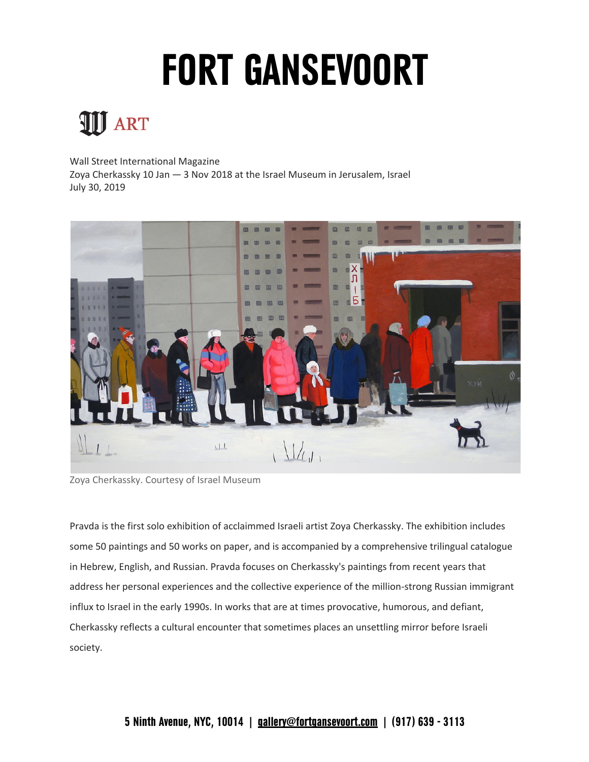## **FORT GANSEVOORT**

## **III** ART

 Wall Street International Magazine     Zoya Cherkassky 10 Jan — 3 Nov 2018 at the Israel Museum in Jerusalem, Israel July 30, 2019



Zoya Cherkassky. Courtesy of Israel Museum

 Pravda is the first solo exhibition of acclaimmed Israeli artist Zoya Cherkassky. The exhibition includes some 50 paintings and 50 works on paper, and is accompanied by a comprehensive trilingual catalogue address her personal experiences and the collective experience of the million-strong Russian immigrant Cherkassky reflects a cultural encounter that sometimes places an unsettling mirror before Israeli in Hebrew, English, and Russian. Pravda focuses on Cherkassky's paintings from recent years that influx to Israel in the early 1990s. In works that are at times provocative, humorous, and defiant, society.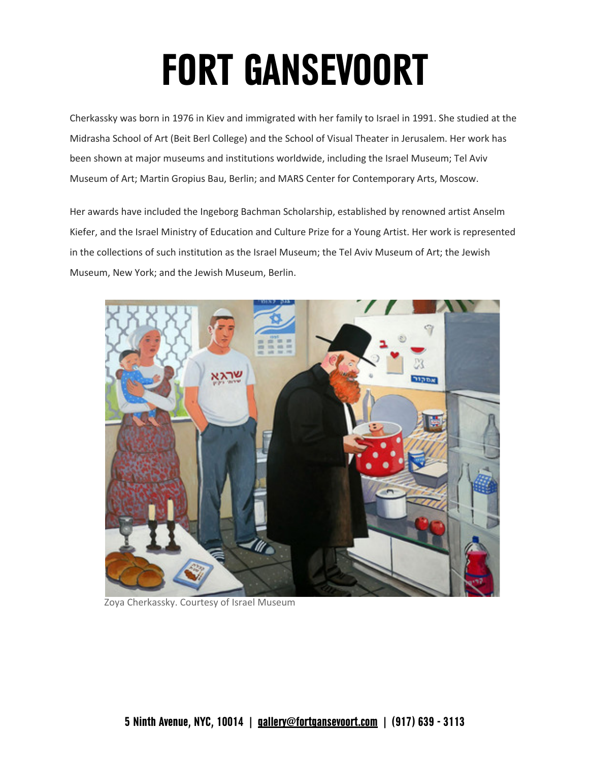## **FORT GANSEVOORT**

 Cherkassky was born in 1976 in Kiev and immigrated with her family to Israel in 1991. She studied at the Midrasha School of Art (Beit Berl College) and the School of Visual Theater in Jerusalem. Her work has been shown at major museums and institutions worldwide, including the Israel Museum; Tel Aviv Museum of Art; Martin Gropius Bau, Berlin; and MARS Center for Contemporary Arts, Moscow.

 Her awards have included the Ingeborg Bachman Scholarship, established by renowned artist Anselm Kiefer, and the Israel Ministry of Education and Culture Prize for a Young Artist. Her work is represented in the collections of such institution as the Israel Museum; the Tel Aviv Museum of Art; the Jewish Museum, New York; and the Jewish Museum, Berlin.



Zoya Cherkassky. Courtesy of Israel Museum